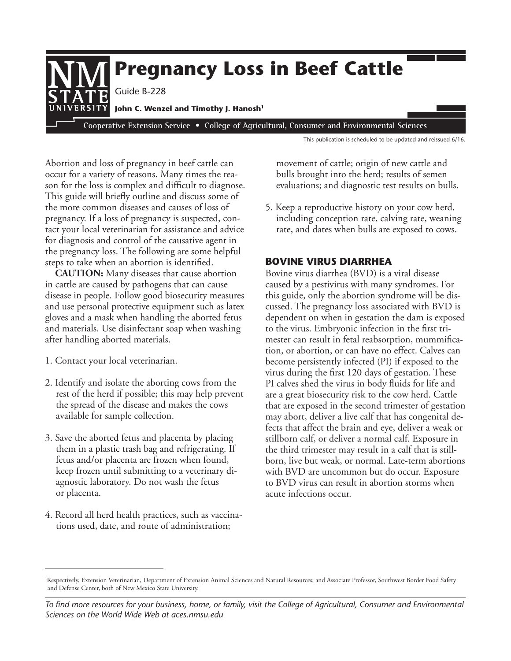

This publication is scheduled to be updated and reissued 6/16.

Abortion and loss of pregnancy in beef cattle can occur for a variety of reasons. Many times the reason for the loss is complex and difficult to diagnose. This guide will briefly outline and discuss some of the more common diseases and causes of loss of pregnancy. If a loss of pregnancy is suspected, contact your local veterinarian for assistance and advice for diagnosis and control of the causative agent in the pregnancy loss. The following are some helpful steps to take when an abortion is identified.

**CAUTION:** Many diseases that cause abortion in cattle are caused by pathogens that can cause disease in people. Follow good biosecurity measures and use personal protective equipment such as latex gloves and a mask when handling the aborted fetus and materials. Use disinfectant soap when washing after handling aborted materials.

- 1. Contact your local veterinarian.
- 2. Identify and isolate the aborting cows from the rest of the herd if possible; this may help prevent the spread of the disease and makes the cows available for sample collection.
- 3. Save the aborted fetus and placenta by placing them in a plastic trash bag and refrigerating. If fetus and/or placenta are frozen when found, keep frozen until submitting to a veterinary diagnostic laboratory. Do not wash the fetus or placenta.
- 4. Record all herd health practices, such as vaccinations used, date, and route of administration;

movement of cattle; origin of new cattle and bulls brought into the herd; results of semen evaluations; and diagnostic test results on bulls.

5. Keep a reproductive history on your cow herd, including conception rate, calving rate, weaning rate, and dates when bulls are exposed to cows.

# **Bovine virus DiarrHea**

Bovine virus diarrhea (BVD) is a viral disease caused by a pestivirus with many syndromes. For this guide, only the abortion syndrome will be discussed. The pregnancy loss associated with BVD is dependent on when in gestation the dam is exposed to the virus. Embryonic infection in the first trimester can result in fetal reabsorption, mummification, or abortion, or can have no effect. Calves can become persistently infected (PI) if exposed to the virus during the first 120 days of gestation. These PI calves shed the virus in body fluids for life and are a great biosecurity risk to the cow herd. Cattle that are exposed in the second trimester of gestation may abort, deliver a live calf that has congenital defects that affect the brain and eye, deliver a weak or stillborn calf, or deliver a normal calf. Exposure in the third trimester may result in a calf that is stillborn, live but weak, or normal. Late-term abortions with BVD are uncommon but do occur. Exposure to BVD virus can result in abortion storms when acute infections occur.

<sup>&</sup>lt;sup>1</sup>Respectively, Extension Veterinarian, Department of Extension Animal Sciences and Natural Resources; and Associate Professor, Southwest Border Food Safety and Defense Center, both of New Mexico State University.

*To find more resources for your business, home, or family, visit the College of Agricultural, Consumer and Environmental Sciences on the World Wide Web at aces.nmsu.edu*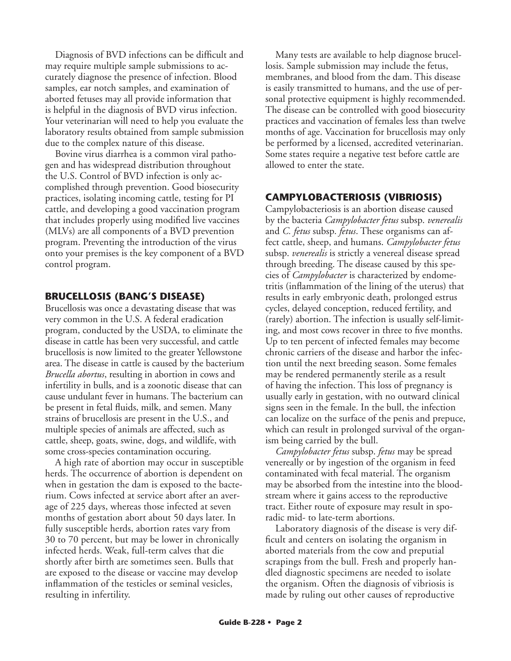Diagnosis of BVD infections can be difficult and may require multiple sample submissions to accurately diagnose the presence of infection. Blood samples, ear notch samples, and examination of aborted fetuses may all provide information that is helpful in the diagnosis of BVD virus infection. Your veterinarian will need to help you evaluate the laboratory results obtained from sample submission due to the complex nature of this disease.

Bovine virus diarrhea is a common viral pathogen and has widespread distribution throughout the U.S. Control of BVD infection is only accomplished through prevention. Good biosecurity practices, isolating incoming cattle, testing for PI cattle, and developing a good vaccination program that includes properly using modified live vaccines (MLVs) are all components of a BVD prevention program. Preventing the introduction of the virus onto your premises is the key component of a BVD control program.

## **BruCeLLosis (BanG's Disease)**

Brucellosis was once a devastating disease that was very common in the U.S. A federal eradication program, conducted by the USDA, to eliminate the disease in cattle has been very successful, and cattle brucellosis is now limited to the greater Yellowstone area. The disease in cattle is caused by the bacterium *Brucella abortus*, resulting in abortion in cows and infertility in bulls, and is a zoonotic disease that can cause undulant fever in humans. The bacterium can be present in fetal fluids, milk, and semen. Many strains of brucellosis are present in the U.S., and multiple species of animals are affected, such as cattle, sheep, goats, swine, dogs, and wildlife, with some cross-species contamination occuring.

A high rate of abortion may occur in susceptible herds. The occurrence of abortion is dependent on when in gestation the dam is exposed to the bacterium. Cows infected at service abort after an average of 225 days, whereas those infected at seven months of gestation abort about 50 days later. In fully susceptible herds, abortion rates vary from 30 to 70 percent, but may be lower in chronically infected herds. Weak, full-term calves that die shortly after birth are sometimes seen. Bulls that are exposed to the disease or vaccine may develop inflammation of the testicles or seminal vesicles, resulting in infertility.

Many tests are available to help diagnose brucellosis. Sample submission may include the fetus, membranes, and blood from the dam. This disease is easily transmitted to humans, and the use of personal protective equipment is highly recommended. The disease can be controlled with good biosecurity practices and vaccination of females less than twelve months of age. Vaccination for brucellosis may only be performed by a licensed, accredited veterinarian. Some states require a negative test before cattle are allowed to enter the state.

# **CamPyLoBaCTeriosis (viBriosis)**

Campylobacteriosis is an abortion disease caused by the bacteria *Campylobacter fetus* subsp. *venerealis* and *C. fetus* subsp. *fetus*. These organisms can affect cattle, sheep, and humans. *Campylobacter fetus* subsp. *venerealis* is strictly a venereal disease spread through breeding. The disease caused by this species of *Campylobacter* is characterized by endometritis (inflammation of the lining of the uterus) that results in early embryonic death, prolonged estrus cycles, delayed conception, reduced fertility, and (rarely) abortion. The infection is usually self-limiting, and most cows recover in three to five months. Up to ten percent of infected females may become chronic carriers of the disease and harbor the infection until the next breeding season. Some females may be rendered permanently sterile as a result of having the infection. This loss of pregnancy is usually early in gestation, with no outward clinical signs seen in the female. In the bull, the infection can localize on the surface of the penis and prepuce, which can result in prolonged survival of the organism being carried by the bull.

*Campylobacter fetus* subsp. *fetus* may be spread venereally or by ingestion of the organism in feed contaminated with fecal material. The organism may be absorbed from the intestine into the bloodstream where it gains access to the reproductive tract. Either route of exposure may result in sporadic mid- to late-term abortions.

Laboratory diagnosis of the disease is very difficult and centers on isolating the organism in aborted materials from the cow and preputial scrapings from the bull. Fresh and properly handled diagnostic specimens are needed to isolate the organism. Often the diagnosis of vibriosis is made by ruling out other causes of reproductive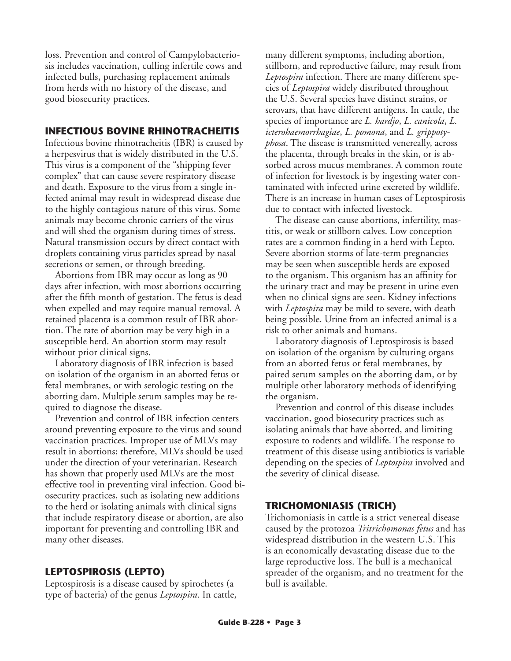loss. Prevention and control of Campylobacteriosis includes vaccination, culling infertile cows and infected bulls, purchasing replacement animals from herds with no history of the disease, and good biosecurity practices.

## **INFECTIOUS BOVINE RHINOTRACHEITIS**

Infectious bovine rhinotracheitis (IBR) is caused by a herpesvirus that is widely distributed in the U.S. This virus is a component of the "shipping fever complex" that can cause severe respiratory disease and death. Exposure to the virus from a single infected animal may result in widespread disease due to the highly contagious nature of this virus. Some animals may become chronic carriers of the virus and will shed the organism during times of stress. Natural transmission occurs by direct contact with droplets containing virus particles spread by nasal secretions or semen, or through breeding.

Abortions from IBR may occur as long as 90 days after infection, with most abortions occurring after the fifth month of gestation. The fetus is dead when expelled and may require manual removal. A retained placenta is a common result of IBR abortion. The rate of abortion may be very high in a susceptible herd. An abortion storm may result without prior clinical signs.

Laboratory diagnosis of IBR infection is based on isolation of the organism in an aborted fetus or fetal membranes, or with serologic testing on the aborting dam. Multiple serum samples may be required to diagnose the disease.

Prevention and control of IBR infection centers around preventing exposure to the virus and sound vaccination practices. Improper use of MLVs may result in abortions; therefore, MLVs should be used under the direction of your veterinarian. Research has shown that properly used MLVs are the most effective tool in preventing viral infection. Good biosecurity practices, such as isolating new additions to the herd or isolating animals with clinical signs that include respiratory disease or abortion, are also important for preventing and controlling IBR and many other diseases.

# **LePTosPirosis (LePTo)**

Leptospirosis is a disease caused by spirochetes (a type of bacteria) of the genus *Leptospira*. In cattle,

many different symptoms, including abortion, stillborn, and reproductive failure, may result from *Leptospira* infection. There are many different species of *Leptospira* widely distributed throughout the U.S. Several species have distinct strains, or serovars, that have different antigens. In cattle, the species of importance are *L. hardjo*, *L. canicola*, *L. icterohaemorrhagiae*, *L. pomona*, and *L. grippotyphosa*. The disease is transmitted venereally, across the placenta, through breaks in the skin, or is absorbed across mucus membranes. A common route of infection for livestock is by ingesting water contaminated with infected urine excreted by wildlife. There is an increase in human cases of Leptospirosis due to contact with infected livestock.

The disease can cause abortions, infertility, mastitis, or weak or stillborn calves. Low conception rates are a common finding in a herd with Lepto. Severe abortion storms of late-term pregnancies may be seen when susceptible herds are exposed to the organism. This organism has an affinity for the urinary tract and may be present in urine even when no clinical signs are seen. Kidney infections with *Leptospira* may be mild to severe, with death being possible. Urine from an infected animal is a risk to other animals and humans.

Laboratory diagnosis of Leptospirosis is based on isolation of the organism by culturing organs from an aborted fetus or fetal membranes, by paired serum samples on the aborting dam, or by multiple other laboratory methods of identifying the organism.

Prevention and control of this disease includes vaccination, good biosecurity practices such as isolating animals that have aborted, and limiting exposure to rodents and wildlife. The response to treatment of this disease using antibiotics is variable depending on the species of *Leptospira* involved and the severity of clinical disease.

## **TriCHomoniasis (TriCH)**

Trichomoniasis in cattle is a strict venereal disease caused by the protozoa *Tritrichomonas fetus* and has widespread distribution in the western U.S. This is an economically devastating disease due to the large reproductive loss. The bull is a mechanical spreader of the organism, and no treatment for the bull is available.